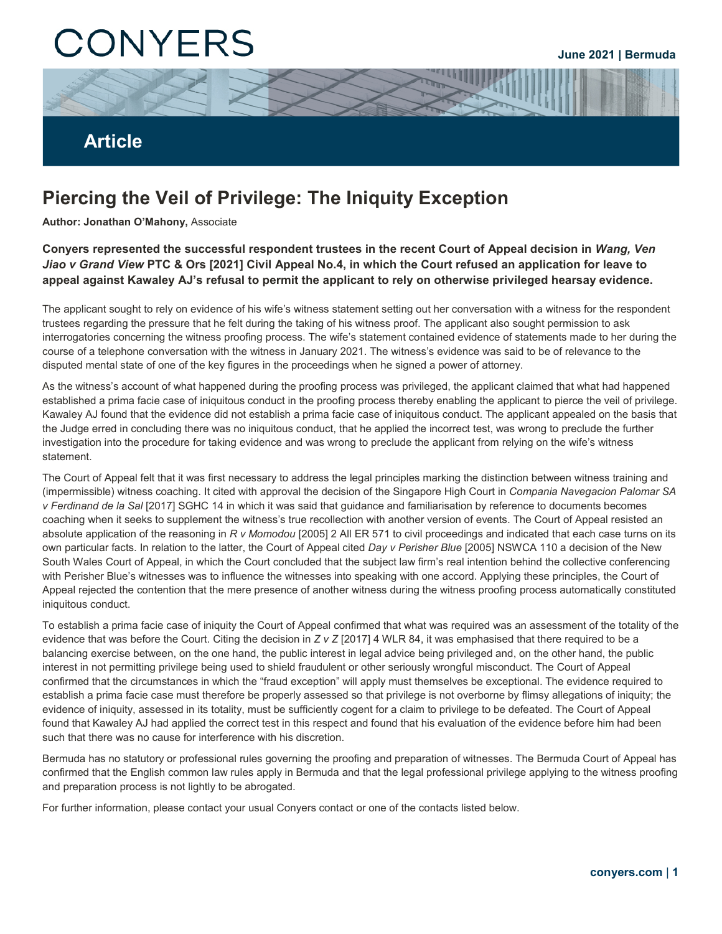# CONYERS

**June 2021 | Bermuda**

## **Article**

## **Piercing the Veil of Privilege: The Iniquity Exception**

**Author: Jonathan O'Mahony,** Associate

**Conyers represented the successful respondent trustees in the recent Court of Appeal decision in** *Wang, Ven Jiao v Grand View* **PTC & Ors [2021] Civil Appeal No.4, in which the Court refused an application for leave to appeal against Kawaley AJ's refusal to permit the applicant to rely on otherwise privileged hearsay evidence.** 

The applicant sought to rely on evidence of his wife's witness statement setting out her conversation with a witness for the respondent trustees regarding the pressure that he felt during the taking of his witness proof. The applicant also sought permission to ask interrogatories concerning the witness proofing process. The wife's statement contained evidence of statements made to her during the course of a telephone conversation with the witness in January 2021. The witness's evidence was said to be of relevance to the disputed mental state of one of the key figures in the proceedings when he signed a power of attorney.

As the witness's account of what happened during the proofing process was privileged, the applicant claimed that what had happened established a prima facie case of iniquitous conduct in the proofing process thereby enabling the applicant to pierce the veil of privilege. Kawaley AJ found that the evidence did not establish a prima facie case of iniquitous conduct. The applicant appealed on the basis that the Judge erred in concluding there was no iniquitous conduct, that he applied the incorrect test, was wrong to preclude the further investigation into the procedure for taking evidence and was wrong to preclude the applicant from relying on the wife's witness statement.

The Court of Appeal felt that it was first necessary to address the legal principles marking the distinction between witness training and (impermissible) witness coaching. It cited with approval the decision of the Singapore High Court in *Compania Navegacion Palomar SA v Ferdinand de la Sal* [2017] SGHC 14 in which it was said that guidance and familiarisation by reference to documents becomes coaching when it seeks to supplement the witness's true recollection with another version of events. The Court of Appeal resisted an absolute application of the reasoning in *R v Momodou* [2005] 2 All ER 571 to civil proceedings and indicated that each case turns on its own particular facts. In relation to the latter, the Court of Appeal cited *Day v Perisher Blue* [2005] NSWCA 110 a decision of the New South Wales Court of Appeal, in which the Court concluded that the subject law firm's real intention behind the collective conferencing with Perisher Blue's witnesses was to influence the witnesses into speaking with one accord. Applying these principles, the Court of Appeal rejected the contention that the mere presence of another witness during the witness proofing process automatically constituted iniquitous conduct.

To establish a prima facie case of iniquity the Court of Appeal confirmed that what was required was an assessment of the totality of the evidence that was before the Court. Citing the decision in *Z v Z* [2017] 4 WLR 84, it was emphasised that there required to be a balancing exercise between, on the one hand, the public interest in legal advice being privileged and, on the other hand, the public interest in not permitting privilege being used to shield fraudulent or other seriously wrongful misconduct. The Court of Appeal confirmed that the circumstances in which the "fraud exception" will apply must themselves be exceptional. The evidence required to establish a prima facie case must therefore be properly assessed so that privilege is not overborne by flimsy allegations of iniquity; the evidence of iniquity, assessed in its totality, must be sufficiently cogent for a claim to privilege to be defeated. The Court of Appeal found that Kawaley AJ had applied the correct test in this respect and found that his evaluation of the evidence before him had been such that there was no cause for interference with his discretion.

Bermuda has no statutory or professional rules governing the proofing and preparation of witnesses. The Bermuda Court of Appeal has confirmed that the English common law rules apply in Bermuda and that the legal professional privilege applying to the witness proofing and preparation process is not lightly to be abrogated.

For further information, please contact your usual Conyers contact or one of the contacts listed below.